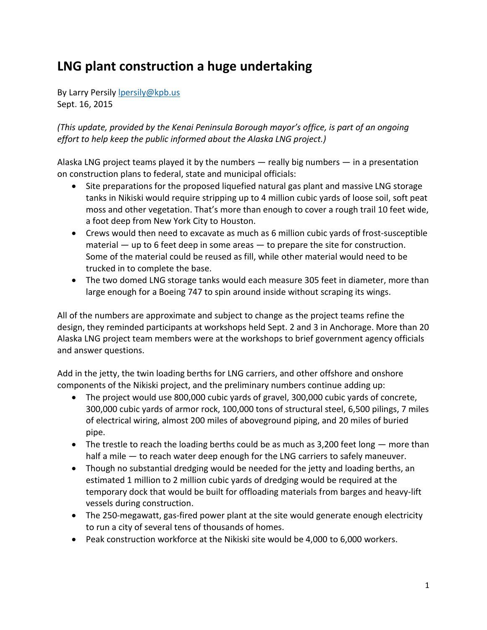# **LNG plant construction a huge undertaking**

By Larry Persily **lpersily@kpb**.us Sept. 16, 2015

*(This update, provided by the Kenai Peninsula Borough mayor's office, is part of an ongoing effort to help keep the public informed about the Alaska LNG project.)*

Alaska LNG project teams played it by the numbers  $-$  really big numbers  $-$  in a presentation on construction plans to federal, state and municipal officials:

- Site preparations for the proposed liquefied natural gas plant and massive LNG storage tanks in Nikiski would require stripping up to 4 million cubic yards of loose soil, soft peat moss and other vegetation. That's more than enough to cover a rough trail 10 feet wide, a foot deep from New York City to Houston.
- Crews would then need to excavate as much as 6 million cubic yards of frost-susceptible material  $-$  up to 6 feet deep in some areas  $-$  to prepare the site for construction. Some of the material could be reused as fill, while other material would need to be trucked in to complete the base.
- The two domed LNG storage tanks would each measure 305 feet in diameter, more than large enough for a Boeing 747 to spin around inside without scraping its wings.

All of the numbers are approximate and subject to change as the project teams refine the design, they reminded participants at workshops held Sept. 2 and 3 in Anchorage. More than 20 Alaska LNG project team members were at the workshops to brief government agency officials and answer questions.

Add in the jetty, the twin loading berths for LNG carriers, and other offshore and onshore components of the Nikiski project, and the preliminary numbers continue adding up:

- The project would use 800,000 cubic yards of gravel, 300,000 cubic yards of concrete, 300,000 cubic yards of armor rock, 100,000 tons of structural steel, 6,500 pilings, 7 miles of electrical wiring, almost 200 miles of aboveground piping, and 20 miles of buried pipe.
- $\bullet$  The trestle to reach the loading berths could be as much as 3,200 feet long  $-$  more than half a mile - to reach water deep enough for the LNG carriers to safely maneuver.
- Though no substantial dredging would be needed for the jetty and loading berths, an estimated 1 million to 2 million cubic yards of dredging would be required at the temporary dock that would be built for offloading materials from barges and heavy-lift vessels during construction.
- The 250-megawatt, gas-fired power plant at the site would generate enough electricity to run a city of several tens of thousands of homes.
- Peak construction workforce at the Nikiski site would be 4,000 to 6,000 workers.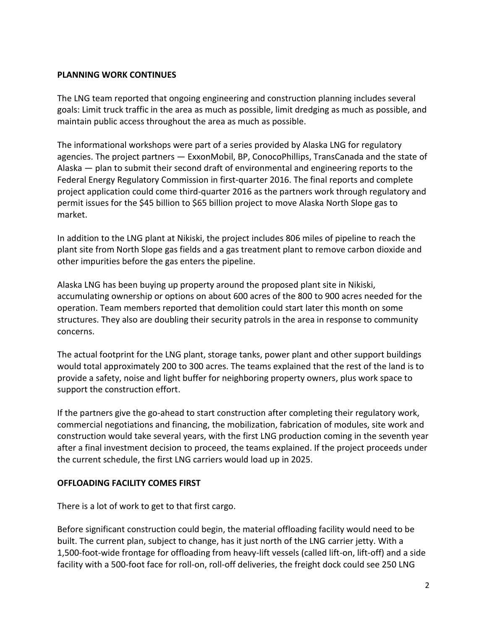## **PLANNING WORK CONTINUES**

The LNG team reported that ongoing engineering and construction planning includes several goals: Limit truck traffic in the area as much as possible, limit dredging as much as possible, and maintain public access throughout the area as much as possible.

The informational workshops were part of a series provided by Alaska LNG for regulatory agencies. The project partners — ExxonMobil, BP, ConocoPhillips, TransCanada and the state of Alaska — plan to submit their second draft of environmental and engineering reports to the Federal Energy Regulatory Commission in first-quarter 2016. The final reports and complete project application could come third-quarter 2016 as the partners work through regulatory and permit issues for the \$45 billion to \$65 billion project to move Alaska North Slope gas to market.

In addition to the LNG plant at Nikiski, the project includes 806 miles of pipeline to reach the plant site from North Slope gas fields and a gas treatment plant to remove carbon dioxide and other impurities before the gas enters the pipeline.

Alaska LNG has been buying up property around the proposed plant site in Nikiski, accumulating ownership or options on about 600 acres of the 800 to 900 acres needed for the operation. Team members reported that demolition could start later this month on some structures. They also are doubling their security patrols in the area in response to community concerns.

The actual footprint for the LNG plant, storage tanks, power plant and other support buildings would total approximately 200 to 300 acres. The teams explained that the rest of the land is to provide a safety, noise and light buffer for neighboring property owners, plus work space to support the construction effort.

If the partners give the go-ahead to start construction after completing their regulatory work, commercial negotiations and financing, the mobilization, fabrication of modules, site work and construction would take several years, with the first LNG production coming in the seventh year after a final investment decision to proceed, the teams explained. If the project proceeds under the current schedule, the first LNG carriers would load up in 2025.

## **OFFLOADING FACILITY COMES FIRST**

There is a lot of work to get to that first cargo.

Before significant construction could begin, the material offloading facility would need to be built. The current plan, subject to change, has it just north of the LNG carrier jetty. With a 1,500-foot-wide frontage for offloading from heavy-lift vessels (called lift-on, lift-off) and a side facility with a 500-foot face for roll-on, roll-off deliveries, the freight dock could see 250 LNG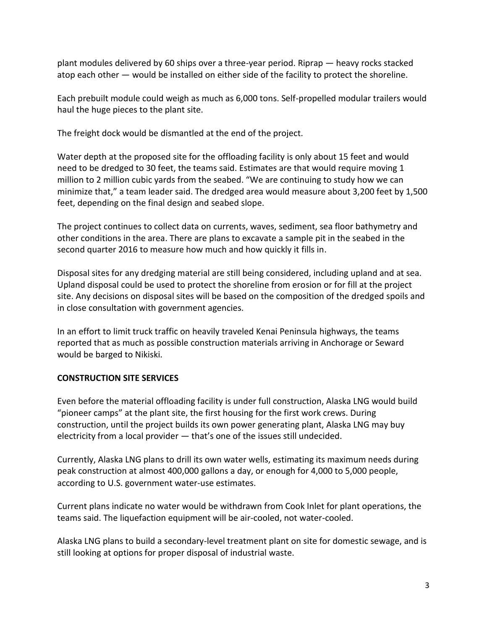plant modules delivered by 60 ships over a three-year period. Riprap — heavy rocks stacked atop each other — would be installed on either side of the facility to protect the shoreline.

Each prebuilt module could weigh as much as 6,000 tons. Self-propelled modular trailers would haul the huge pieces to the plant site.

The freight dock would be dismantled at the end of the project.

Water depth at the proposed site for the offloading facility is only about 15 feet and would need to be dredged to 30 feet, the teams said. Estimates are that would require moving 1 million to 2 million cubic yards from the seabed. "We are continuing to study how we can minimize that," a team leader said. The dredged area would measure about 3,200 feet by 1,500 feet, depending on the final design and seabed slope.

The project continues to collect data on currents, waves, sediment, sea floor bathymetry and other conditions in the area. There are plans to excavate a sample pit in the seabed in the second quarter 2016 to measure how much and how quickly it fills in.

Disposal sites for any dredging material are still being considered, including upland and at sea. Upland disposal could be used to protect the shoreline from erosion or for fill at the project site. Any decisions on disposal sites will be based on the composition of the dredged spoils and in close consultation with government agencies.

In an effort to limit truck traffic on heavily traveled Kenai Peninsula highways, the teams reported that as much as possible construction materials arriving in Anchorage or Seward would be barged to Nikiski.

# **CONSTRUCTION SITE SERVICES**

Even before the material offloading facility is under full construction, Alaska LNG would build "pioneer camps" at the plant site, the first housing for the first work crews. During construction, until the project builds its own power generating plant, Alaska LNG may buy electricity from a local provider — that's one of the issues still undecided.

Currently, Alaska LNG plans to drill its own water wells, estimating its maximum needs during peak construction at almost 400,000 gallons a day, or enough for 4,000 to 5,000 people, according to U.S. government water-use estimates.

Current plans indicate no water would be withdrawn from Cook Inlet for plant operations, the teams said. The liquefaction equipment will be air-cooled, not water-cooled.

Alaska LNG plans to build a secondary-level treatment plant on site for domestic sewage, and is still looking at options for proper disposal of industrial waste.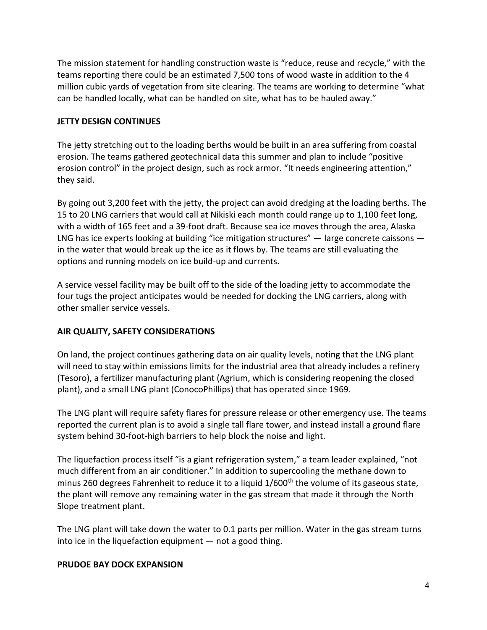The mission statement for handling construction waste is "reduce, reuse and recycle," with the teams reporting there could be an estimated 7,500 tons of wood waste in addition to the 4 million cubic yards of vegetation from site clearing. The teams are working to determine "what can be handled locally, what can be handled on site, what has to be hauled away."

## **JETTY DESIGN CONTINUES**

The jetty stretching out to the loading berths would be built in an area suffering from coastal erosion. The teams gathered geotechnical data this summer and plan to include "positive erosion control" in the project design, such as rock armor. "It needs engineering attention," they said.

By going out 3,200 feet with the jetty, the project can avoid dredging at the loading berths. The 15 to 20 LNG carriers that would call at Nikiski each month could range up to 1,100 feet long, with a width of 165 feet and a 39-foot draft. Because sea ice moves through the area, Alaska LNG has ice experts looking at building "ice mitigation structures" — large concrete caissons in the water that would break up the ice as it flows by. The teams are still evaluating the options and running models on ice build-up and currents.

A service vessel facility may be built off to the side of the loading jetty to accommodate the four tugs the project anticipates would be needed for docking the LNG carriers, along with other smaller service vessels.

## **AIR QUALITY, SAFETY CONSIDERATIONS**

On land, the project continues gathering data on air quality levels, noting that the LNG plant will need to stay within emissions limits for the industrial area that already includes a refinery (Tesoro), a fertilizer manufacturing plant (Agrium, which is considering reopening the closed plant), and a small LNG plant (ConocoPhillips) that has operated since 1969.

The LNG plant will require safety flares for pressure release or other emergency use. The teams reported the current plan is to avoid a single tall flare tower, and instead install a ground flare system behind 30-foot-high barriers to help block the noise and light.

The liquefaction process itself "is a giant refrigeration system," a team leader explained, "not much different from an air conditioner." In addition to supercooling the methane down to minus 260 degrees Fahrenheit to reduce it to a liquid 1/600<sup>th</sup> the volume of its gaseous state, the plant will remove any remaining water in the gas stream that made it through the North Slope treatment plant.

The LNG plant will take down the water to 0.1 parts per million. Water in the gas stream turns into ice in the liquefaction equipment — not a good thing.

#### **PRUDOE BAY DOCK EXPANSION**